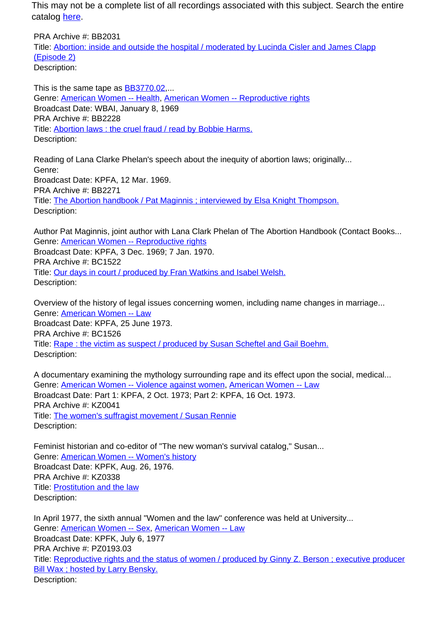This may not be a complete list of all recordings associated with this subject. Search the entire catalog [here.](http://pacificaradioarchives.org/keyword-search)

PRA Archive #: BB2031 Title: Abortion: inside and outside the hospital / moderated by Lucinda Cisler and James Clapp (Episode 2) Description:

This is the same tape as BB3770.02,... Genre: American Women -- Health, American Women -- Reproductive rights Broadcast Date: WBAI, January 8, 1969 PRA Archive #: BB2228 Title: Abortion laws : the cruel fraud / read by Bobbie Harms. Description:

Reading of Lana Clarke Phelan's speech about the inequity of abortion laws; originally... Genre: Broadcast Date: KPFA, 12 Mar. 1969. PRA Archive #: BB2271 Title: The Abortion handbook / Pat Maginnis ; interviewed by Elsa Knight Thompson. Description:

Author Pat Maginnis, joint author with Lana Clark Phelan of The Abortion Handbook (Contact Books... Genre: American Women -- Reproductive rights Broadcast Date: KPFA, 3 Dec. 1969; 7 Jan. 1970. PRA Archive #: BC1522 Title: Our days in court / produced by Fran Watkins and Isabel Welsh. Description:

Overview of the history of legal issues concerning women, including name changes in marriage... Genre: American Women -- Law Broadcast Date: KPFA, 25 June 1973. PRA Archive #: BC1526 Title: Rape : the victim as suspect / produced by Susan Scheftel and Gail Boehm. Description:

A documentary examining the mythology surrounding rape and its effect upon the social, medical... Genre: **American Women -- Violence against women, American Women -- Law** Broadcast Date: Part 1: KPFA, 2 Oct. 1973; Part 2: KPFA, 16 Oct. 1973. PRA Archive #: KZ0041 Title: The women's suffragist movement / Susan Rennie Description:

Feminist historian and co-editor of "The new woman's survival catalog," Susan... Genre: American Women -- Women's history Broadcast Date: KPFK, Aug. 26, 1976. PRA Archive #: KZ0338 Title: Prostitution and the law Description:

In April 1977, the sixth annual "Women and the law" conference was held at University... Genre: American Women -- Sex, American Women -- Law Broadcast Date: KPFK, July 6, 1977 PRA Archive #: PZ0193.03 Title: Reproductive rights and the status of women / produced by Ginny Z. Berson ; executive producer Bill Wax ; hosted by Larry Bensky. Description: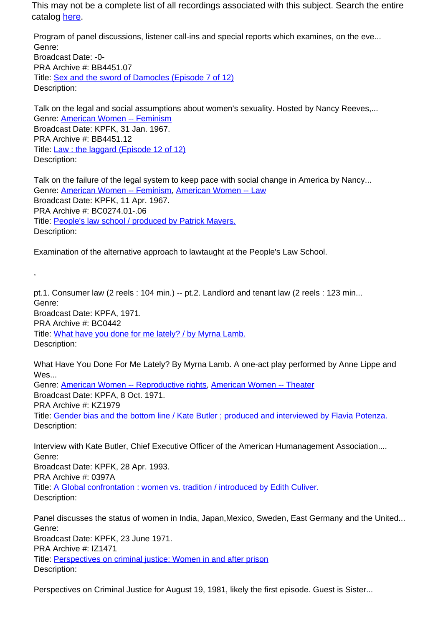This may not be a complete list of all recordings associated with this subject. Search the entire catalog here.

Program of panel discussions, listener call-ins and special reports which examines, on the eve... Genre: Broadcast Date: -0- PRA Archive #: BB4451.07 Title: Sex and the sword of Damocles (Episode 7 of 12) Description:

Talk on the legal and social assumptions about women's sexuality. Hosted by Nancy Reeves,... Genre: American Women -- Feminism Broadcast Date: KPFK, 31 Jan. 1967. PRA Archive #: BB4451.12 Title: **Law : the laggard (Episode 12 of 12)** Description:

Talk on the failure of the legal system to keep pace with social change in America by Nancy... Genre: American Women -- Feminism, American Women -- Law Broadcast Date: KPFK, 11 Apr. 1967. PRA Archive #: BC0274.01-.06 Title: People's law school / produced by Patrick Mayers. Description:

Examination of the alternative approach to lawtaught at the People's Law School.

,

pt.1. Consumer law (2 reels : 104 min.) -- pt.2. Landlord and tenant law (2 reels : 123 min... Genre: Broadcast Date: KPFA, 1971. PRA Archive #: BC0442 Title: What have you done for me lately? / by Myrna Lamb. Description:

What Have You Done For Me Lately? By Myrna Lamb. A one-act play performed by Anne Lippe and Wes...

Genre: American Women -- Reproductive rights, American Women -- Theater Broadcast Date: KPFA, 8 Oct. 1971. PRA Archive #: KZ1979 Title: Gender bias and the bottom line / Kate Butler ; produced and interviewed by Flavia Potenza. Description:

Interview with Kate Butler, Chief Executive Officer of the American Humanagement Association.... Genre: Broadcast Date: KPFK, 28 Apr. 1993. PRA Archive #: 0397A Title: A Global confrontation : women vs. tradition / introduced by Edith Culiver. Description:

Panel discusses the status of women in India, Japan,Mexico, Sweden, East Germany and the United... Genre: Broadcast Date: KPFK, 23 June 1971. PRA Archive #: IZ1471 Title: Perspectives on criminal justice: Women in and after prison Description:

Perspectives on Criminal Justice for August 19, 1981, likely the first episode. Guest is Sister...